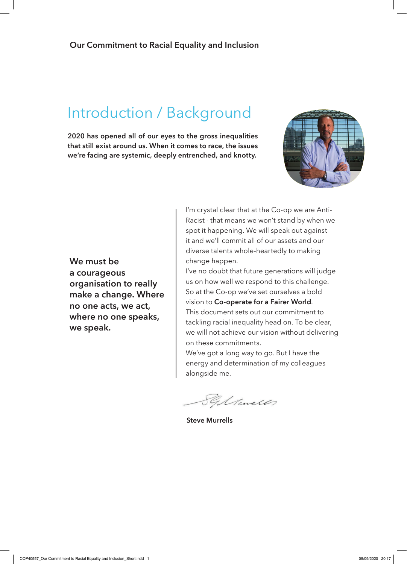## Introduction / Background

**2020 has opened all of our eyes to the gross inequalities that still exist around us. When it comes to race, the issues we're facing are systemic, deeply entrenched, and knotty.**



**We must be a courageous organisation to really make a change. Where no one acts, we act, where no one speaks, we speak.**

I'm crystal clear that at the Co-op we are Anti-Racist - that means we won't stand by when we spot it happening. We will speak out against it and we'll commit all of our assets and our diverse talents whole-heartedly to making change happen.

I've no doubt that future generations will judge us on how well we respond to this challenge. So at the Co-op we've set ourselves a bold vision to **Co-operate for a Fairer World**.

This document sets out our commitment to tackling racial inequality head on. To be clear, we will not achieve our vision without delivering on these commitments.

We've got a long way to go. But I have the energy and determination of my colleagues alongside me.

Sylances

**Steve Murrells**